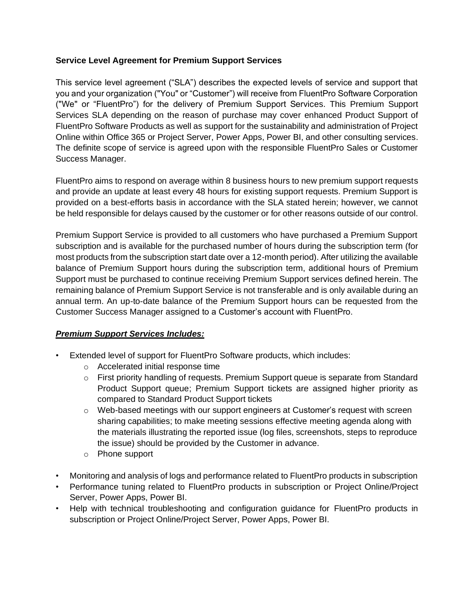### **Service Level Agreement for Premium Support Services**

This service level agreement ("SLA") describes the expected levels of service and support that you and your organization ("You" or "Customer") will receive from FluentPro Software Corporation ("We" or "FluentPro") for the delivery of Premium Support Services. This Premium Support Services SLA depending on the reason of purchase may cover enhanced Product Support of FluentPro Software Products as well as support for the sustainability and administration of Project Online within Office 365 or Project Server, Power Apps, Power BI, and other consulting services. The definite scope of service is agreed upon with the responsible FluentPro Sales or Customer Success Manager.

FluentPro aims to respond on average within 8 business hours to new premium support requests and provide an update at least every 48 hours for existing support requests. Premium Support is provided on a best-efforts basis in accordance with the SLA stated herein; however, we cannot be held responsible for delays caused by the customer or for other reasons outside of our control.

Premium Support Service is provided to all customers who have purchased a Premium Support subscription and is available for the purchased number of hours during the subscription term (for most products from the subscription start date over a 12-month period). After utilizing the available balance of Premium Support hours during the subscription term, additional hours of Premium Support must be purchased to continue receiving Premium Support services defined herein. The remaining balance of Premium Support Service is not transferable and is only available during an annual term. An up-to-date balance of the Premium Support hours can be requested from the Customer Success Manager assigned to a Customer's account with FluentPro.

## *Premium Support Services Includes:*

- Extended level of support for FluentPro Software products, which includes:
	- o Accelerated initial response time
	- o First priority handling of requests. Premium Support queue is separate from Standard Product Support queue; Premium Support tickets are assigned higher priority as compared to Standard Product Support tickets
	- $\circ$  Web-based meetings with our support engineers at Customer's request with screen sharing capabilities; to make meeting sessions effective meeting agenda along with the materials illustrating the reported issue (log files, screenshots, steps to reproduce the issue) should be provided by the Customer in advance.
	- o Phone support
- Monitoring and analysis of logs and performance related to FluentPro products in subscription
- Performance tuning related to FluentPro products in subscription or Project Online/Project Server, Power Apps, Power BI.
- Help with technical troubleshooting and configuration guidance for FluentPro products in subscription or Project Online/Project Server, Power Apps, Power BI.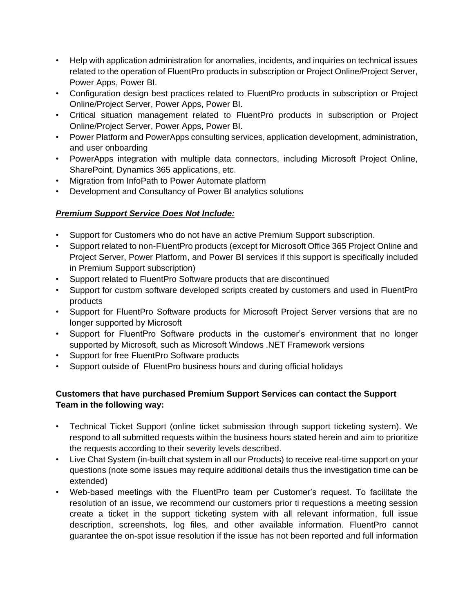- Help with application administration for anomalies, incidents, and inquiries on technical issues related to the operation of FluentPro products in subscription or Project Online/Project Server, Power Apps, Power BI.
- Configuration design best practices related to FluentPro products in subscription or Project Online/Project Server, Power Apps, Power BI.
- Critical situation management related to FluentPro products in subscription or Project Online/Project Server, Power Apps, Power BI.
- Power Platform and PowerApps consulting services, application development, administration, and user onboarding
- PowerApps integration with multiple data connectors, including Microsoft Project Online, SharePoint, Dynamics 365 applications, etc.
- Migration from InfoPath to Power Automate platform
- Development and Consultancy of Power BI analytics solutions

# *Premium Support Service Does Not Include:*

- Support for Customers who do not have an active Premium Support subscription.
- Support related to non-FluentPro products (except for Microsoft Office 365 Project Online and Project Server, Power Platform, and Power BI services if this support is specifically included in Premium Support subscription)
- Support related to FluentPro Software products that are discontinued
- Support for custom software developed scripts created by customers and used in FluentPro products
- Support for FluentPro Software products for Microsoft Project Server versions that are no longer supported by Microsoft
- Support for FluentPro Software products in the customer's environment that no longer supported by Microsoft, such as Microsoft Windows .NET Framework versions
- Support for free FluentPro Software products
- Support outside of FluentPro business hours and during official holidays

## **Customers that have purchased Premium Support Services can contact the Support Team in the following way:**

- Technical Ticket Support (online ticket submission through support ticketing system). We respond to all submitted requests within the business hours stated herein and aim to prioritize the requests according to their severity levels described.
- Live Chat System (in-built chat system in all our Products) to receive real-time support on your questions (note some issues may require additional details thus the investigation time can be extended)
- Web-based meetings with the FluentPro team per Customer's request. To facilitate the resolution of an issue, we recommend our customers prior ti requestions a meeting session create a ticket in the support ticketing system with all relevant information, full issue description, screenshots, log files, and other available information. FluentPro cannot guarantee the on-spot issue resolution if the issue has not been reported and full information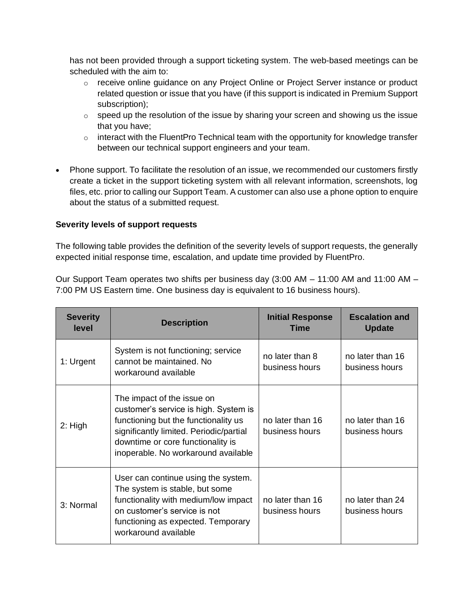has not been provided through a support ticketing system. The web-based meetings can be scheduled with the aim to:

- o receive online guidance on any Project Online or Project Server instance or product related question or issue that you have (if this support is indicated in Premium Support subscription);
- $\circ$  speed up the resolution of the issue by sharing your screen and showing us the issue that you have;
- $\circ$  interact with the FluentPro Technical team with the opportunity for knowledge transfer between our technical support engineers and your team.
- Phone support. To facilitate the resolution of an issue, we recommended our customers firstly create a ticket in the support ticketing system with all relevant information, screenshots, log files, etc. prior to calling our Support Team. A customer can also use a phone option to enquire about the status of a submitted request.

### **Severity levels of support requests**

The following table provides the definition of the severity levels of support requests, the generally expected initial response time, escalation, and update time provided by FluentPro.

Our Support Team operates two shifts per business day (3:00 AM – 11:00 AM and 11:00 AM – 7:00 PM US Eastern time. One business day is equivalent to 16 business hours).

| <b>Severity</b><br>level | <b>Description</b>                                                                                                                                                                                                                 | <b>Initial Response</b><br><b>Time</b> | <b>Escalation and</b><br><b>Update</b> |
|--------------------------|------------------------------------------------------------------------------------------------------------------------------------------------------------------------------------------------------------------------------------|----------------------------------------|----------------------------------------|
| 1: Urgent                | System is not functioning; service<br>cannot be maintained. No<br>workaround available                                                                                                                                             | no later than 8<br>business hours      | no later than 16<br>business hours     |
| $2:$ High                | The impact of the issue on<br>customer's service is high. System is<br>functioning but the functionality us<br>significantly limited. Periodic/partial<br>downtime or core functionality is<br>inoperable. No workaround available | no later than 16<br>business hours     | no later than 16<br>business hours     |
| 3: Normal                | User can continue using the system.<br>The system is stable, but some<br>functionality with medium/low impact<br>on customer's service is not<br>functioning as expected. Temporary<br>workaround available                        | no later than 16<br>business hours     | no later than 24<br>business hours     |